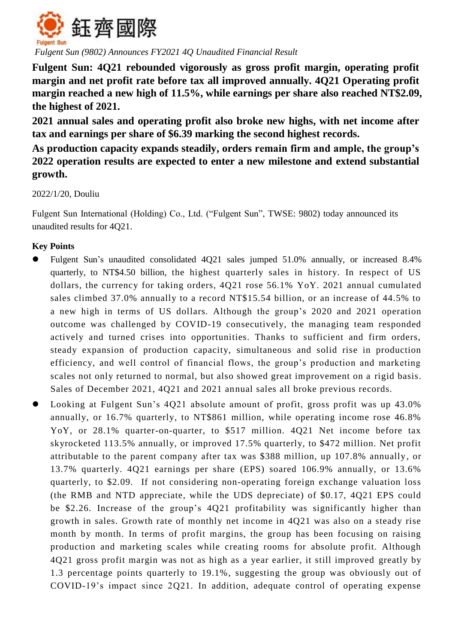

*Fulgent Sun (9802) Announces FY2021 4Q Unaudited Financial Result*

**Fulgent Sun: 4Q21 rebounded vigorously as gross profit margin, operating profit margin and net profit rate before tax all improved annually. 4Q21 Operating profit margin reached a new high of 11.5%, while earnings per share also reached NT\$2.09, the highest of 2021.**

**2021 annual sales and operating profit also broke new highs, with net income after tax and earnings per share of \$6.39 marking the second highest records.**

**As production capacity expands steadily, orders remain firm and ample, the group's 2022 operation results are expected to enter a new milestone and extend substantial growth.** 

2022/1/20, Douliu

Fulgent Sun International (Holding) Co., Ltd. ("Fulgent Sun", TWSE: 9802) today announced its unaudited results for 4Q21.

## **Key Points**

- Fulgent Sun's unaudited consolidated 4Q21 sales jumped 51.0% annually, or increased 8.4% quarterly, to NT\$4.50 billion, the highest quarterly sales in history. In respect of US dollars, the currency for taking orders, 4Q21 rose 56.1% YoY. 2021 annual cumulated sales climbed 37.0% annually to a record NT\$15.54 billion, or an increase of 44.5% to a new high in terms of US dollars. Although the group's 2020 and 2021 operation outcome was challenged by COVID-19 consecutively, the managing team responded actively and turned crises into opportunities. Thanks to sufficient and firm orders, steady expansion of production capacity, simultaneous and solid rise in production efficiency, and well control of financial flows, the group's production and marketing scales not only returned to normal, but also showed great improvement on a rigid basis. Sales of December 2021, 4Q21 and 2021 annual sales all broke previous records.
- Looking at Fulgent Sun's 4Q21 absolute amount of profit, gross profit was up 43.0% annually, or 16.7% quarterly, to NT\$861 million, while operating income rose 46.8% YoY, or 28.1% quarter-on-quarter, to \$517 million. 4Q21 Net income before tax skyrocketed 113.5% annually, or improved 17.5% quarterly, to \$472 million. Net profit attributable to the parent company after tax was \$388 million, up 107.8% annually , or 13.7% quarterly. 4Q21 earnings per share (EPS) soared 106.9% annually, or 13.6% quarterly, to \$2.09. If not considering non-operating foreign exchange valuation loss (the RMB and NTD appreciate, while the UDS depreciate) of \$0.17, 4Q21 EPS could be \$2.26. Increase of the group's 4Q21 profitability was significantly higher than growth in sales. Growth rate of monthly net income in 4Q21 was also on a steady rise month by month. In terms of profit margins, the group has been focusing on raising production and marketing scales while creating rooms for absolute profit. Although 4Q21 gross profit margin was not as high as a year earlier, it still improved greatly by 1.3 percentage points quarterly to 19.1%, suggesting the group was obviously out of COVID-19's impact since 2Q21. In addition, adequate control of operating expense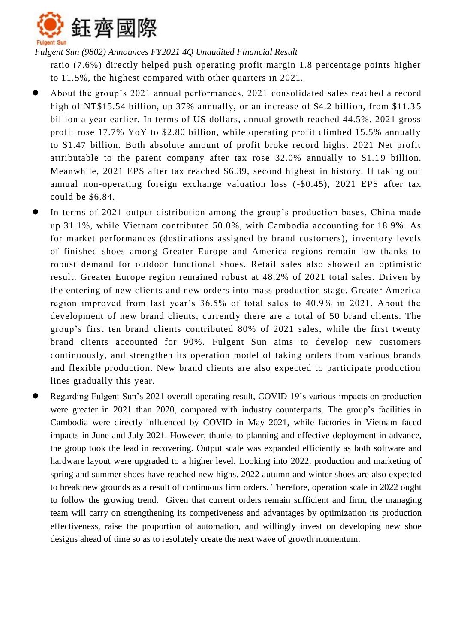

*Fulgent Sun (9802) Announces FY2021 4Q Unaudited Financial Result*

ratio (7.6%) directly helped push operating profit margin 1.8 percentage points higher to 11.5%, the highest compared with other quarters in 2021.

- About the group's 2021 annual performances, 2021 consolidated sales reached a record high of NT\$15.54 billion, up 37% annually, or an increase of \$4.2 billion, from \$11.35 billion a year earlier. In terms of US dollars, annual growth reached 44.5%. 2021 gross profit rose 17.7% YoY to \$2.80 billion, while operating profit climbed 15.5% annually to \$1.47 billion. Both absolute amount of profit broke record highs. 2021 Net profit attributable to the parent company after tax rose 32.0% annually to \$1.19 billion. Meanwhile, 2021 EPS after tax reached \$6.39, second highest in history. If taking out annual non-operating foreign exchange valuation loss (-\$0.45), 2021 EPS after tax could be \$6.84.
- In terms of 2021 output distribution among the group's production bases, China made up 31.1%, while Vietnam contributed 50.0%, with Cambodia accounting for 18.9%. As for market performances (destinations assigned by brand customers), inventory levels of finished shoes among Greater Europe and America regions remain low thanks to robust demand for outdoor functional shoes. Retail sales also showed an optimistic result. Greater Europe region remained robust at 48.2% of 2021 total sales. Driven by the entering of new clients and new orders into mass production stage, Greater America region improved from last year's 36.5% of total sales to 40.9% in 2021. About the development of new brand clients, currently there are a total of 50 brand clients. The group's first ten brand clients contributed 80% of 2021 sales, while the first twenty brand clients accounted for 90%. Fulgent Sun aims to develop new customers continuously, and strengthen its operation model of taking orders from various brands and flexible production. New brand clients are also expected to participate production lines gradually this year.
- Regarding Fulgent Sun's 2021 overall operating result, COVID-19's various impacts on production were greater in 2021 than 2020, compared with industry counterparts. The group's facilities in Cambodia were directly influenced by COVID in May 2021, while factories in Vietnam faced impacts in June and July 2021. However, thanks to planning and effective deployment in advance, the group took the lead in recovering. Output scale was expanded efficiently as both software and hardware layout were upgraded to a higher level. Looking into 2022, production and marketing of spring and summer shoes have reached new highs. 2022 autumn and winter shoes are also expected to break new grounds as a result of continuous firm orders. Therefore, operation scale in 2022 ought to follow the growing trend. Given that current orders remain sufficient and firm, the managing team will carry on strengthening its competiveness and advantages by optimization its production effectiveness, raise the proportion of automation, and willingly invest on developing new shoe designs ahead of time so as to resolutely create the next wave of growth momentum.